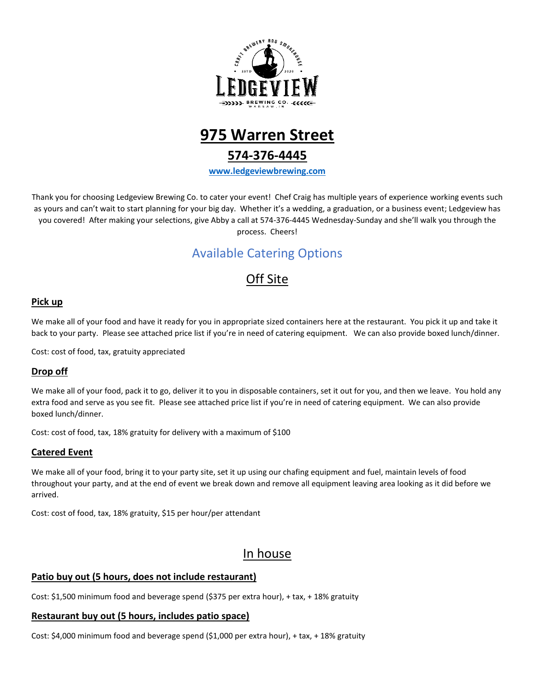



# **574-376-4445**

**[www.ledgeviewbrewing.com](http://www.ledgeviewbrewing.com/)**

Thank you for choosing Ledgeview Brewing Co. to cater your event! Chef Craig has multiple years of experience working events such as yours and can't wait to start planning for your big day. Whether it's a wedding, a graduation, or a business event; Ledgeview has you covered! After making your selections, give Abby a call at 574-376-4445 Wednesday-Sunday and she'll walk you through the process. Cheers!

# Available Catering Options

# Off Site

# **Pick up**

We make all of your food and have it ready for you in appropriate sized containers here at the restaurant. You pick it up and take it back to your party. Please see attached price list if you're in need of catering equipment. We can also provide boxed lunch/dinner.

Cost: cost of food, tax, gratuity appreciated

# **Drop off**

We make all of your food, pack it to go, deliver it to you in disposable containers, set it out for you, and then we leave. You hold any extra food and serve as you see fit. Please see attached price list if you're in need of catering equipment. We can also provide boxed lunch/dinner.

Cost: cost of food, tax, 18% gratuity for delivery with a maximum of \$100

# **Catered Event**

We make all of your food, bring it to your party site, set it up using our chafing equipment and fuel, maintain levels of food throughout your party, and at the end of event we break down and remove all equipment leaving area looking as it did before we arrived.

Cost: cost of food, tax, 18% gratuity, \$15 per hour/per attendant

# In house

# **Patio buy out (5 hours, does not include restaurant)**

Cost: \$1,500 minimum food and beverage spend (\$375 per extra hour), + tax, + 18% gratuity

### **Restaurant buy out (5 hours, includes patio space)**

Cost: \$4,000 minimum food and beverage spend (\$1,000 per extra hour), + tax, + 18% gratuity